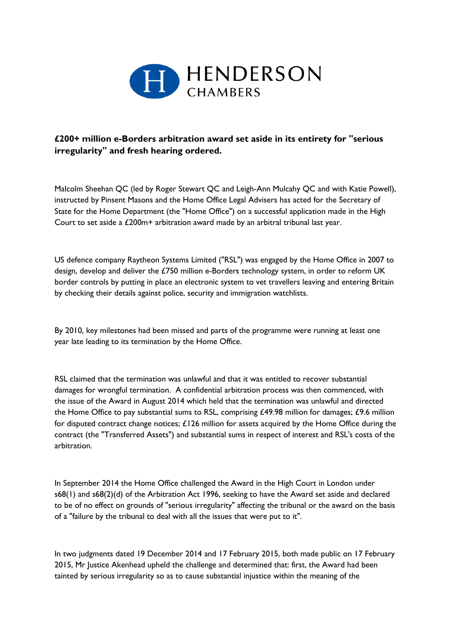

## **£200+ million e-Borders arbitration award set aside in its entirety for "serious irregularity" and fresh hearing ordered.**

Malcolm Sheehan QC (led by Roger Stewart QC and Leigh-Ann Mulcahy QC and with Katie Powell), instructed by Pinsent Masons and the Home Office Legal Advisers has acted for the Secretary of State for the Home Department (the "Home Office") on a successful application made in the High Court to set aside a £200m+ arbitration award made by an arbitral tribunal last year.

US defence company Raytheon Systems Limited ("RSL") was engaged by the Home Office in 2007 to design, develop and deliver the £750 million e-Borders technology system, in order to reform UK border controls by putting in place an electronic system to vet travellers leaving and entering Britain by checking their details against police, security and immigration watchlists.

By 2010, key milestones had been missed and parts of the programme were running at least one year late leading to its termination by the Home Office.

RSL claimed that the termination was unlawful and that it was entitled to recover substantial damages for wrongful termination. A confidential arbitration process was then commenced, with the issue of the Award in August 2014 which held that the termination was unlawful and directed the Home Office to pay substantial sums to RSL, comprising £49.98 million for damages; £9.6 million for disputed contract change notices; £126 million for assets acquired by the Home Office during the contract (the "Transferred Assets") and substantial sums in respect of interest and RSL's costs of the arbitration.

In September 2014 the Home Office challenged the Award in the High Court in London under s68(1) and s68(2)(d) of the Arbitration Act 1996, seeking to have the Award set aside and declared to be of no effect on grounds of "serious irregularity" affecting the tribunal or the award on the basis of a "failure by the tribunal to deal with all the issues that were put to it".

In two judgments dated 19 December 2014 and 17 February 2015, both made public on 17 February 2015, Mr Justice Akenhead upheld the challenge and determined that: first, the Award had been tainted by serious irregularity so as to cause substantial injustice within the meaning of the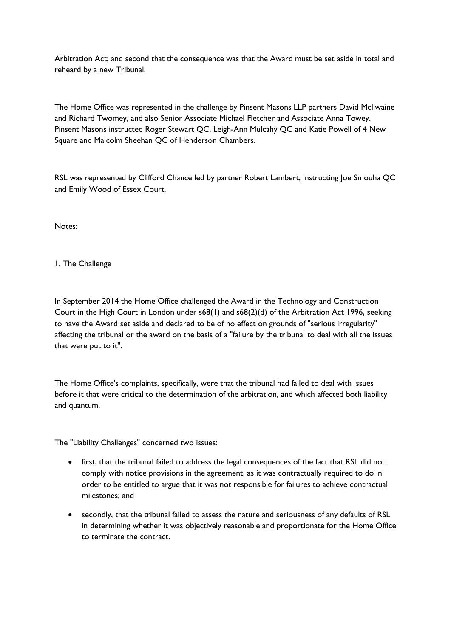Arbitration Act; and second that the consequence was that the Award must be set aside in total and reheard by a new Tribunal.

The Home Office was represented in the challenge by Pinsent Masons LLP partners David McIlwaine and Richard Twomey, and also Senior Associate Michael Fletcher and Associate Anna Towey. Pinsent Masons instructed Roger Stewart QC, Leigh-Ann Mulcahy QC and Katie Powell of 4 New Square and Malcolm Sheehan QC of Henderson Chambers.

RSL was represented by Clifford Chance led by partner Robert Lambert, instructing Joe Smouha QC and Emily Wood of Essex Court.

Notes:

1. The Challenge

In September 2014 the Home Office challenged the Award in the Technology and Construction Court in the High Court in London under s68(1) and s68(2)(d) of the Arbitration Act 1996, seeking to have the Award set aside and declared to be of no effect on grounds of "serious irregularity" affecting the tribunal or the award on the basis of a "failure by the tribunal to deal with all the issues that were put to it".

The Home Office's complaints, specifically, were that the tribunal had failed to deal with issues before it that were critical to the determination of the arbitration, and which affected both liability and quantum.

The "Liability Challenges" concerned two issues:

- first, that the tribunal failed to address the legal consequences of the fact that RSL did not comply with notice provisions in the agreement, as it was contractually required to do in order to be entitled to argue that it was not responsible for failures to achieve contractual milestones; and
- secondly, that the tribunal failed to assess the nature and seriousness of any defaults of RSL in determining whether it was objectively reasonable and proportionate for the Home Office to terminate the contract.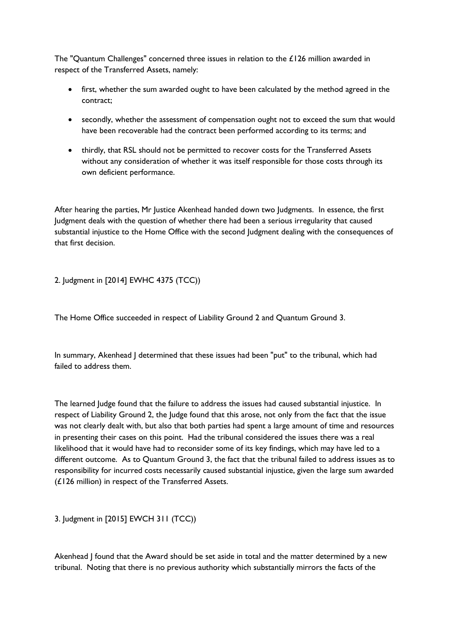The "Quantum Challenges" concerned three issues in relation to the £126 million awarded in respect of the Transferred Assets, namely:

- first, whether the sum awarded ought to have been calculated by the method agreed in the contract;
- secondly, whether the assessment of compensation ought not to exceed the sum that would have been recoverable had the contract been performed according to its terms; and
- thirdly, that RSL should not be permitted to recover costs for the Transferred Assets without any consideration of whether it was itself responsible for those costs through its own deficient performance.

After hearing the parties, Mr Justice Akenhead handed down two Judgments. In essence, the first Judgment deals with the question of whether there had been a serious irregularity that caused substantial injustice to the Home Office with the second Judgment dealing with the consequences of that first decision.

2. Judgment in [2014] EWHC 4375 (TCC))

The Home Office succeeded in respect of Liability Ground 2 and Quantum Ground 3.

In summary, Akenhead J determined that these issues had been "put" to the tribunal, which had failed to address them.

The learned Judge found that the failure to address the issues had caused substantial injustice. In respect of Liability Ground 2, the Judge found that this arose, not only from the fact that the issue was not clearly dealt with, but also that both parties had spent a large amount of time and resources in presenting their cases on this point. Had the tribunal considered the issues there was a real likelihood that it would have had to reconsider some of its key findings, which may have led to a different outcome. As to Quantum Ground 3, the fact that the tribunal failed to address issues as to responsibility for incurred costs necessarily caused substantial injustice, given the large sum awarded (£126 million) in respect of the Transferred Assets.

3. Judgment in [2015] EWCH 311 (TCC))

Akenhead J found that the Award should be set aside in total and the matter determined by a new tribunal. Noting that there is no previous authority which substantially mirrors the facts of the